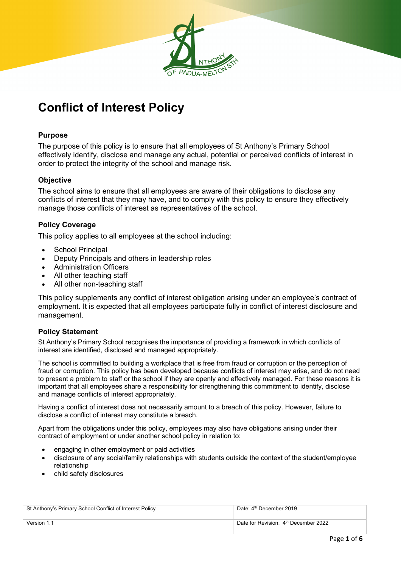

# **Conflict of Interest Policy**

## **Purpose**

The purpose of this policy is to ensure that all employees of St Anthony's Primary School effectively identify, disclose and manage any actual, potential or perceived conflicts of interest in order to protect the integrity of the school and manage risk.

# **Objective**

The school aims to ensure that all employees are aware of their obligations to disclose any conflicts of interest that they may have, and to comply with this policy to ensure they effectively manage those conflicts of interest as representatives of the school.

# **Policy Coverage**

This policy applies to all employees at the school including:

- School Principal
- Deputy Principals and others in leadership roles
- Administration Officers
- All other teaching staff
- All other non-teaching staff

This policy supplements any conflict of interest obligation arising under an employee's contract of employment. It is expected that all employees participate fully in conflict of interest disclosure and management.

## **Policy Statement**

St Anthony's Primary School recognises the importance of providing a framework in which conflicts of interest are identified, disclosed and managed appropriately.

The school is committed to building a workplace that is free from fraud or corruption or the perception of fraud or corruption. This policy has been developed because conflicts of interest may arise, and do not need to present a problem to staff or the school if they are openly and effectively managed. For these reasons it is important that all employees share a responsibility for strengthening this commitment to identify, disclose and manage conflicts of interest appropriately.

Having a conflict of interest does not necessarily amount to a breach of this policy. However, failure to disclose a conflict of interest may constitute a breach.

Apart from the obligations under this policy, employees may also have obligations arising under their contract of employment or under another school policy in relation to:

- engaging in other employment or paid activities
- disclosure of any social/family relationships with students outside the context of the student/employee relationship
- child safety disclosures

| St Anthony's Primary School Conflict of Interest Policy | Date: 4 <sup>th</sup> December 2019              |
|---------------------------------------------------------|--------------------------------------------------|
| Version 1.1                                             | Date for Revision: 4 <sup>th</sup> December 2022 |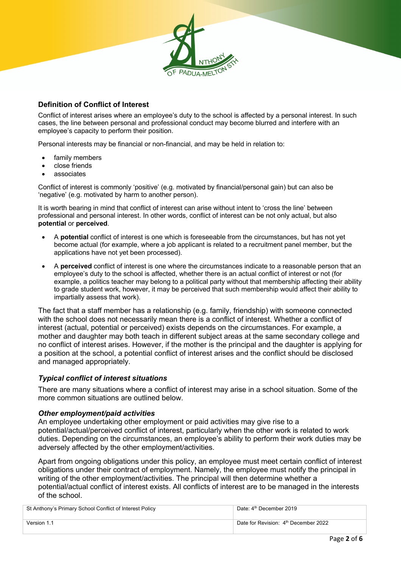

# **Definition of Conflict of Interest**

Conflict of interest arises where an employee's duty to the school is affected by a personal interest. In such cases, the line between personal and professional conduct may become blurred and interfere with an employee's capacity to perform their position.

Personal interests may be financial or non-financial, and may be held in relation to:

- family members
- close friends
- associates

Conflict of interest is commonly 'positive' (e.g. motivated by financial/personal gain) but can also be 'negative' (e.g. motivated by harm to another person).

It is worth bearing in mind that conflict of interest can arise without intent to 'cross the line' between professional and personal interest. In other words, conflict of interest can be not only actual, but also **potential** or **perceived**.

- A **potential** conflict of interest is one which is foreseeable from the circumstances, but has not yet become actual (for example, where a job applicant is related to a recruitment panel member, but the applications have not yet been processed).
- A **perceived** conflict of interest is one where the circumstances indicate to a reasonable person that an employee's duty to the school is affected, whether there is an actual conflict of interest or not (for example, a politics teacher may belong to a political party without that membership affecting their ability to grade student work, however, it may be perceived that such membership would affect their ability to impartially assess that work).

The fact that a staff member has a relationship (e.g. family, friendship) with someone connected with the school does not necessarily mean there is a conflict of interest. Whether a conflict of interest (actual, potential or perceived) exists depends on the circumstances. For example, a mother and daughter may both teach in different subject areas at the same secondary college and no conflict of interest arises. However, if the mother is the principal and the daughter is applying for a position at the school, a potential conflict of interest arises and the conflict should be disclosed and managed appropriately.

## *Typical conflict of interest situations*

There are many situations where a conflict of interest may arise in a school situation. Some of the more common situations are outlined below.

#### *Other employment/paid activities*

An employee undertaking other employment or paid activities may give rise to a potential/actual/perceived conflict of interest, particularly when the other work is related to work duties. Depending on the circumstances, an employee's ability to perform their work duties may be adversely affected by the other employment/activities.

Apart from ongoing obligations under this policy, an employee must meet certain conflict of interest obligations under their contract of employment. Namely, the employee must notify the principal in writing of the other employment/activities. The principal will then determine whether a potential/actual conflict of interest exists. All conflicts of interest are to be managed in the interests of the school.

| St Anthony's Primary School Conflict of Interest Policy | Date: 4 <sup>th</sup> December 2019              |
|---------------------------------------------------------|--------------------------------------------------|
|                                                         |                                                  |
|                                                         |                                                  |
| Version 1.1                                             | Date for Revision: 4 <sup>th</sup> December 2022 |
|                                                         |                                                  |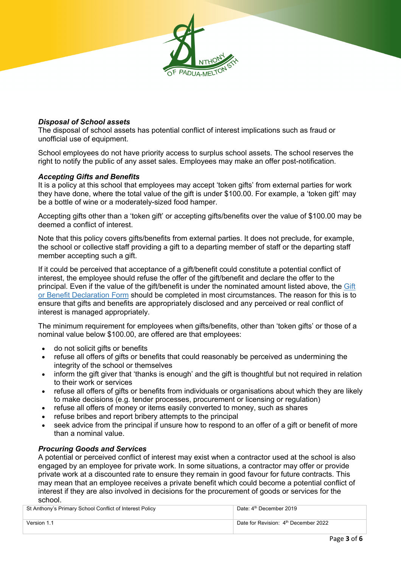# *Disposal of School assets*

The disposal of school assets has potential conflict of interest implications such as fraud or unofficial use of equipment.

School employees do not have priority access to surplus school assets. The school reserves the right to notify the public of any asset sales. Employees may make an offer post-notification.

#### *Accepting Gifts and Benefits*

It is a policy at this school that employees may accept 'token gifts' from external parties for work they have done, where the total value of the gift is under \$100.00. For example, a 'token gift' may be a bottle of wine or a moderately-sized food hamper.

Accepting gifts other than a 'token gift' or accepting gifts/benefits over the value of \$100.00 may be deemed a conflict of interest.

Note that this policy covers gifts/benefits from external parties. It does not preclude, for example, the school or collective staff providing a gift to a departing member of staff or the departing staff member accepting such a gift.

If it could be perceived that acceptance of a gift/benefit could constitute a potential conflict of interest, the employee should refuse the offer of the gift/benefit and declare the offer to the principal. Even if the value of the gift/benefit is under the nominated amount listed above, the Gift or Benefit Declaration Form should be completed in most circumstances. The reason for this is to ensure that gifts and benefits are appropriately disclosed and any perceived or real conflict of interest is managed appropriately.

The minimum requirement for employees when gifts/benefits, other than 'token gifts' or those of a nominal value below \$100.00, are offered are that employees:

- do not solicit gifts or benefits
- refuse all offers of gifts or benefits that could reasonably be perceived as undermining the integrity of the school or themselves
- inform the gift giver that 'thanks is enough' and the gift is thoughtful but not required in relation to their work or services
- refuse all offers of gifts or benefits from individuals or organisations about which they are likely to make decisions (e.g. tender processes, procurement or licensing or regulation)
- refuse all offers of money or items easily converted to money, such as shares
- refuse bribes and report bribery attempts to the principal
- seek advice from the principal if unsure how to respond to an offer of a gift or benefit of more than a nominal value.

#### *Procuring Goods and Services*

A potential or perceived conflict of interest may exist when a contractor used at the school is also engaged by an employee for private work. In some situations, a contractor may offer or provide private work at a discounted rate to ensure they remain in good favour for future contracts. This may mean that an employee receives a private benefit which could become a potential conflict of interest if they are also involved in decisions for the procurement of goods or services for the school.

| St Anthony's Primary School Conflict of Interest Policy | Date: 4 <sup>th</sup> December 2019              |
|---------------------------------------------------------|--------------------------------------------------|
| Version 1.1                                             | Date for Revision: 4 <sup>th</sup> December 2022 |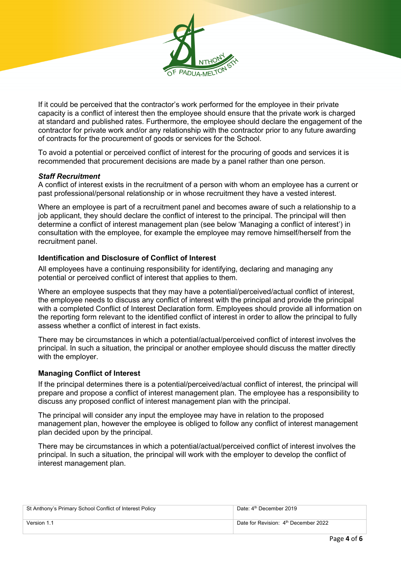

If it could be perceived that the contractor's work performed for the employee in their private capacity is a conflict of interest then the employee should ensure that the private work is charged at standard and published rates. Furthermore, the employee should declare the engagement of the contractor for private work and/or any relationship with the contractor prior to any future awarding of contracts for the procurement of goods or services for the School.

To avoid a potential or perceived conflict of interest for the procuring of goods and services it is recommended that procurement decisions are made by a panel rather than one person.

## *Staff Recruitment*

A conflict of interest exists in the recruitment of a person with whom an employee has a current or past professional/personal relationship or in whose recruitment they have a vested interest.

Where an employee is part of a recruitment panel and becomes aware of such a relationship to a job applicant, they should declare the conflict of interest to the principal. The principal will then determine a conflict of interest management plan (see below 'Managing a conflict of interest') in consultation with the employee, for example the employee may remove himself/herself from the recruitment panel.

## **Identification and Disclosure of Conflict of Interest**

All employees have a continuing responsibility for identifying, declaring and managing any potential or perceived conflict of interest that applies to them.

Where an employee suspects that they may have a potential/perceived/actual conflict of interest, the employee needs to discuss any conflict of interest with the principal and provide the principal with a completed Conflict of Interest Declaration form. Employees should provide all information on the reporting form relevant to the identified conflict of interest in order to allow the principal to fully assess whether a conflict of interest in fact exists.

There may be circumstances in which a potential/actual/perceived conflict of interest involves the principal. In such a situation, the principal or another employee should discuss the matter directly with the employer.

#### **Managing Conflict of Interest**

If the principal determines there is a potential/perceived/actual conflict of interest, the principal will prepare and propose a conflict of interest management plan. The employee has a responsibility to discuss any proposed conflict of interest management plan with the principal.

The principal will consider any input the employee may have in relation to the proposed management plan, however the employee is obliged to follow any conflict of interest management plan decided upon by the principal.

There may be circumstances in which a potential/actual/perceived conflict of interest involves the principal. In such a situation, the principal will work with the employer to develop the conflict of interest management plan.

| St Anthony's Primary School Conflict of Interest Policy | Date: 4 <sup>th</sup> December 2019              |
|---------------------------------------------------------|--------------------------------------------------|
| Version 1.1                                             | Date for Revision: 4 <sup>th</sup> December 2022 |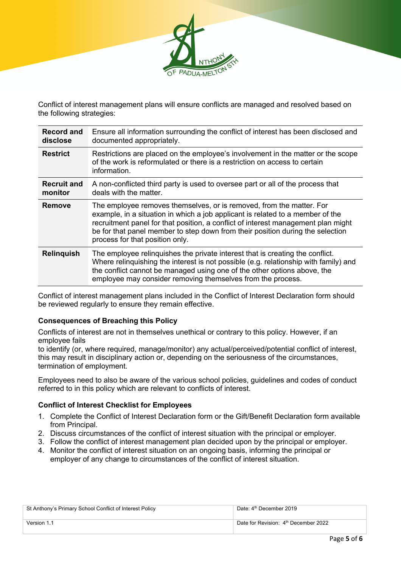

Conflict of interest management plans will ensure conflicts are managed and resolved based on the following strategies:

| <b>Record and</b><br>disclose | Ensure all information surrounding the conflict of interest has been disclosed and<br>documented appropriately.                                                                                                                                                                                                                                                  |
|-------------------------------|------------------------------------------------------------------------------------------------------------------------------------------------------------------------------------------------------------------------------------------------------------------------------------------------------------------------------------------------------------------|
| <b>Restrict</b>               | Restrictions are placed on the employee's involvement in the matter or the scope<br>of the work is reformulated or there is a restriction on access to certain<br>information.                                                                                                                                                                                   |
| <b>Recruit and</b><br>monitor | A non-conflicted third party is used to oversee part or all of the process that<br>deals with the matter.                                                                                                                                                                                                                                                        |
| <b>Remove</b>                 | The employee removes themselves, or is removed, from the matter. For<br>example, in a situation in which a job applicant is related to a member of the<br>recruitment panel for that position, a conflict of interest management plan might<br>be for that panel member to step down from their position during the selection<br>process for that position only. |
| <b>Relinguish</b>             | The employee relinquishes the private interest that is creating the conflict.<br>Where relinguishing the interest is not possible (e.g. relationship with family) and<br>the conflict cannot be managed using one of the other options above, the<br>employee may consider removing themselves from the process.                                                 |

Conflict of interest management plans included in the Conflict of Interest Declaration form should be reviewed regularly to ensure they remain effective.

## **Consequences of Breaching this Policy**

Conflicts of interest are not in themselves unethical or contrary to this policy. However, if an employee fails

to identify (or, where required, manage/monitor) any actual/perceived/potential conflict of interest, this may result in disciplinary action or, depending on the seriousness of the circumstances, termination of employment.

Employees need to also be aware of the various school policies, guidelines and codes of conduct referred to in this policy which are relevant to conflicts of interest.

## **Conflict of Interest Checklist for Employees**

- 1. Complete the Conflict of Interest Declaration form or the Gift/Benefit Declaration form available from Principal.
- 2. Discuss circumstances of the conflict of interest situation with the principal or employer.
- 3. Follow the conflict of interest management plan decided upon by the principal or employer.
- 4. Monitor the conflict of interest situation on an ongoing basis, informing the principal or employer of any change to circumstances of the conflict of interest situation.

| St Anthony's Primary School Conflict of Interest Policy | Date: 4 <sup>th</sup> December 2019              |
|---------------------------------------------------------|--------------------------------------------------|
| Version 1.1                                             | Date for Revision: 4 <sup>th</sup> December 2022 |